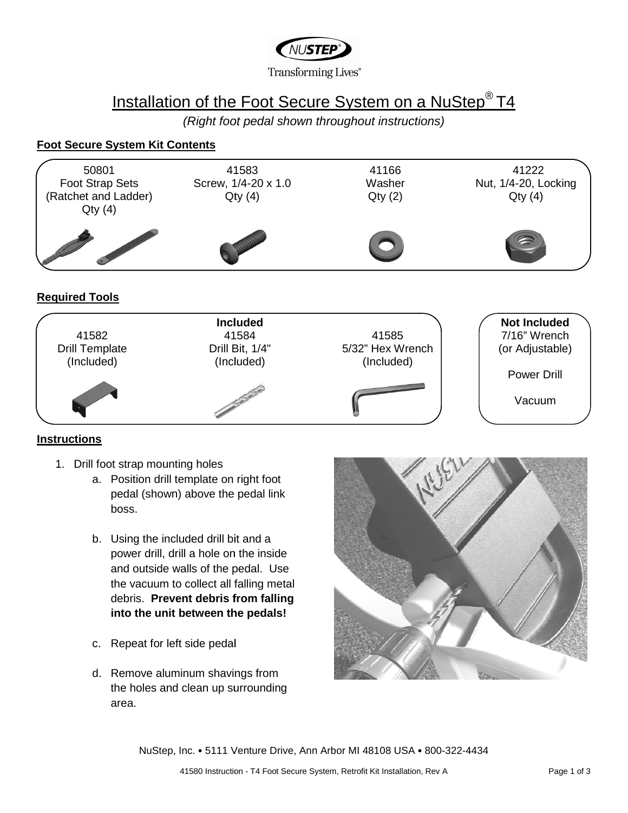

# Installation of the Foot Secure System on a NuStep<sup>®</sup> T4

(Right foot pedal shown throughout instructions)

### **Foot Secure System Kit Contents**





### **Instructions**

- 1. Drill foot strap mounting holes
	- a. Position drill template on right foot pedal (shown) above the pedal link boss.
	- b. Using the included drill bit and a power drill, drill a hole on the inside and outside walls of the pedal. Use the vacuum to collect all falling metal falling debris. **Prevent debris from falling into the unit between the pedals!**
	- c. Repeat for left side pedal pedal
	- d. Remove aluminum shavings from the holes and clean up surrounding the holes area.



NuStep, Inc. • 5111 Venture Drive, Ann Arbor MI 48108 MI 48108 USA • 800-322-4434 4434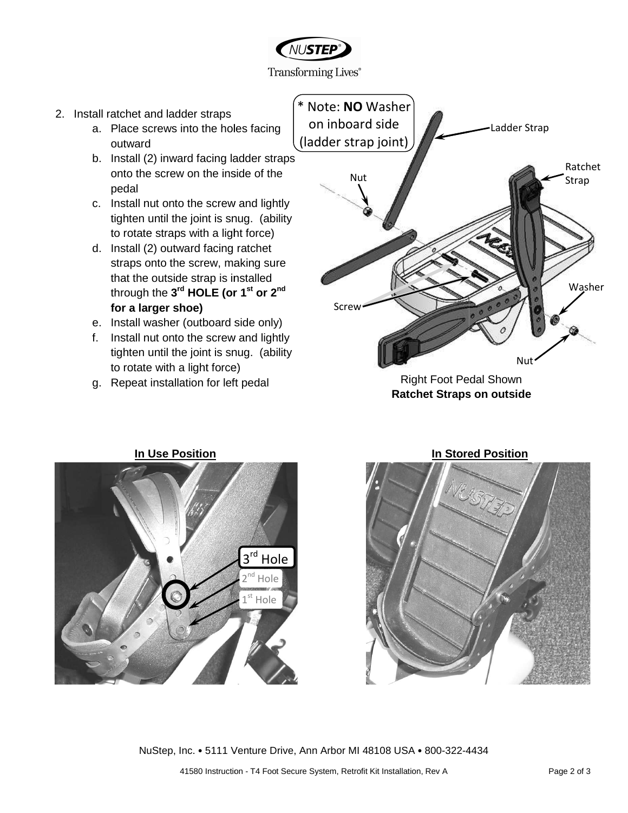

Transforming Lives<sup>®</sup>

- 2. Install ratchet and ladder straps
	- a. Place screws into the hole holes facing outward
	- b. Install (2) inward facing ladder straps onto the screw on the inside of the pedal II (2) inward facing ladder straps<br>the screw on the inside of the<br>I<br>II nut onto the screw and lightly<br>en until the joint is snug. (ability
	- c. Install nut onto the screw and lightly tighten until the joint is snug. (ability to rotate straps with a light force)
	- d. Install (2) outward facing facing ratchet straps onto the screw, making sure that the outside strap is installed through the **3 rd HOLE (or 1 st or 2nd for a larger shoe)**
	- e. Install washer (outboard side only)
	- f. Install nut onto the screw and lightly tighten until the joint is snug. (ability to rotate with a light force)
	- g. Repeat installation for left pedal



Right Foot Pedal Shown **Ratchet Straps on outside**





NuStep, Inc. • 5111 Venture Drive, Ann Arbor MI 48108 MI 48108 USA • 800-322-4434 4434